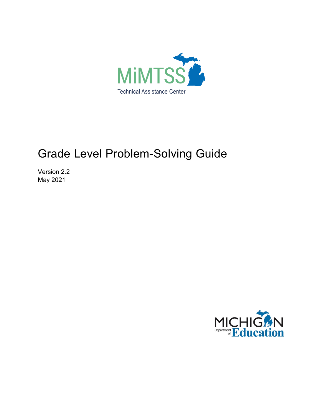

# Grade Level Problem-Solving Guide

Version 2.2 May 2021

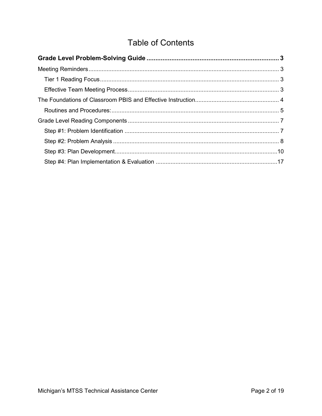# **Table of Contents**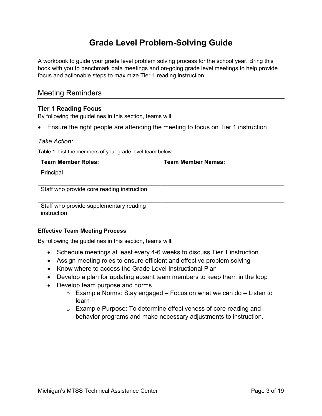# **Grade Level Problem-Solving Guide**

<span id="page-2-0"></span>A workbook to guide your grade level problem solving process for the school year. Bring this book with you to benchmark data meetings and on-going grade level meetings to help provide focus and actionable steps to maximize Tier 1 reading instruction.

### <span id="page-2-1"></span>Meeting Reminders

#### <span id="page-2-2"></span>**Tier 1 Reading Focus**

By following the guidelines in this section, teams will:

• Ensure the right people are attending the meeting to focus on Tier 1 instruction

#### *Take Action:*

Table 1. List the members of your grade level team below.

| <b>Team Member Roles:</b>                              | <b>Team Member Names:</b> |
|--------------------------------------------------------|---------------------------|
| Principal                                              |                           |
| Staff who provide core reading instruction             |                           |
| Staff who provide supplementary reading<br>instruction |                           |

#### <span id="page-2-3"></span>**Effective Team Meeting Process**

By following the guidelines in this section, teams will:

- Schedule meetings at least every 4-6 weeks to discuss Tier 1 instruction
- Assign meeting roles to ensure efficient and effective problem solving
- Know where to access the Grade Level Instructional Plan
- Develop a plan for updating absent team members to keep them in the loop
- Develop team purpose and norms
	- $\circ$  Example Norms: Stay engaged Focus on what we can do Listen to learn
	- o Example Purpose: To determine effectiveness of core reading and behavior programs and make necessary adjustments to instruction.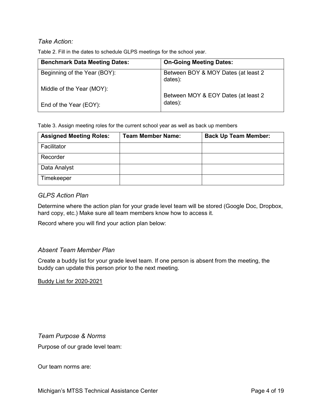#### *Take Action:*

Table 2. Fill in the dates to schedule GLPS meetings for the school year.

| <b>Benchmark Data Meeting Dates:</b> | <b>On-Going Meeting Dates:</b>                 |
|--------------------------------------|------------------------------------------------|
| Beginning of the Year (BOY):         | Between BOY & MOY Dates (at least 2<br>dates): |
| Middle of the Year (MOY):            | Between MOY & EOY Dates (at least 2            |
| End of the Year (EOY):               | dates):                                        |

Table 3. Assign meeting roles for the current school year as well as back up members

| <b>Assigned Meeting Roles:</b> | <b>Team Member Name:</b> | <b>Back Up Team Member:</b> |
|--------------------------------|--------------------------|-----------------------------|
| Facilitator                    |                          |                             |
| Recorder                       |                          |                             |
| Data Analyst                   |                          |                             |
| Timekeeper                     |                          |                             |

#### *GLPS Action Plan*

Determine where the action plan for your grade level team will be stored (Google Doc, Dropbox, hard copy, etc.) Make sure all team members know how to access it.

Record where you will find your action plan below:

#### *Absent Team Member Plan*

Create a buddy list for your grade level team. If one person is absent from the meeting, the buddy can update this person prior to the next meeting.

Buddy List for 2020-2021

*Team Purpose & Norms* Purpose of our grade level team:

<span id="page-3-0"></span>Our team norms are: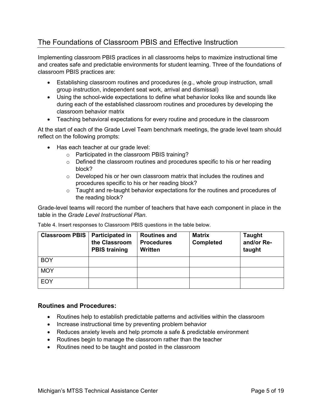## The Foundations of Classroom PBIS and Effective Instruction

Implementing classroom PBIS practices in all classrooms helps to maximize instructional time and creates safe and predictable environments for student learning. Three of the foundations of classroom PBIS practices are:

- Establishing classroom routines and procedures (e.g., whole group instruction, small group instruction, independent seat work, arrival and dismissal)
- Using the school-wide expectations to define what behavior looks like and sounds like during each of the established classroom routines and procedures by developing the classroom behavior matrix
- Teaching behavioral expectations for every routine and procedure in the classroom

At the start of each of the Grade Level Team benchmark meetings, the grade level team should reflect on the following prompts:

- Has each teacher at our grade level:
	- o Participated in the classroom PBIS training?
	- $\circ$  Defined the classroom routines and procedures specific to his or her reading block?
	- o Developed his or her own classroom matrix that includes the routines and procedures specific to his or her reading block?
	- o Taught and re-taught behavior expectations for the routines and procedures of the reading block?

Grade-level teams will record the number of teachers that have each component in place in the table in the *Grade Level Instructional Plan*.

Table 4. Insert responses to Classroom PBIS questions in the table below.

| <b>Classroom PBIS</b> | <b>Participated in</b><br>the Classroom<br><b>PBIS training</b> | <b>Routines and</b><br><b>Procedures</b><br>Written | <b>Matrix</b><br><b>Completed</b> | <b>Taught</b><br>and/or Re-<br>taught |
|-----------------------|-----------------------------------------------------------------|-----------------------------------------------------|-----------------------------------|---------------------------------------|
| <b>BOY</b>            |                                                                 |                                                     |                                   |                                       |
| <b>MOY</b>            |                                                                 |                                                     |                                   |                                       |
| EOY                   |                                                                 |                                                     |                                   |                                       |

#### <span id="page-4-0"></span>**Routines and Procedures:**

- Routines help to establish predictable patterns and activities within the classroom
- Increase instructional time by preventing problem behavior
- Reduces anxiety levels and help promote a safe & predictable environment
- Routines begin to manage the classroom rather than the teacher
- Routines need to be taught and posted in the classroom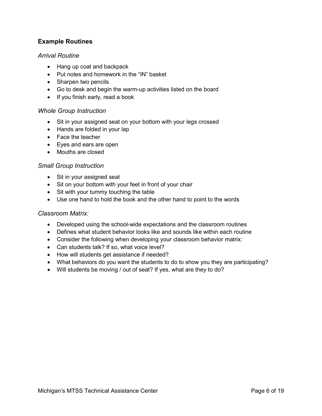#### **Example Routines**

#### *Arrival Routine*

- Hang up coat and backpack
- Put notes and homework in the "IN" basket
- Sharpen two pencils
- Go to desk and begin the warm-up activities listed on the board
- If you finish early, read a book

#### *Whole Group Instruction*

- Sit in your assigned seat on your bottom with your legs crossed
- Hands are folded in your lap
- Face the teacher
- Eyes and ears are open
- Mouths are closed

#### *Small Group Instruction*

- Sit in your assigned seat
- Sit on your bottom with your feet in front of your chair
- Sit with your tummy touching the table
- Use one hand to hold the book and the other hand to point to the words

#### *Classroom Matrix:*

- Developed using the school-wide expectations and the classroom routines
- Defines what student behavior looks like and sounds like within each routine
- Consider the following when developing your classroom behavior matrix:
- Can students talk? If so, what voice level?
- How will students get assistance if needed?
- What behaviors do you want the students to do to show you they are participating?
- Will students be moving / out of seat? If yes, what are they to do?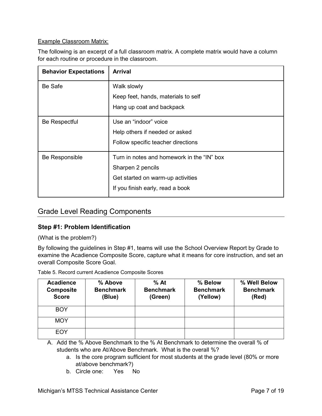#### Example Classroom Matrix:

The following is an excerpt of a full classroom matrix. A complete matrix would have a column for each routine or procedure in the classroom.

| <b>Arrival</b>                             |
|--------------------------------------------|
| Walk slowly                                |
| Keep feet, hands, materials to self        |
| Hang up coat and backpack                  |
| Use an "indoor" voice                      |
| Help others if needed or asked             |
| Follow specific teacher directions         |
| Turn in notes and homework in the "IN" box |
| Sharpen 2 pencils                          |
| Get started on warm-up activities          |
| If you finish early, read a book           |
|                                            |

## <span id="page-6-0"></span>Grade Level Reading Components

#### <span id="page-6-1"></span>**Step #1: Problem Identification**

(What is the problem?)

By following the guidelines in Step #1, teams will use the School Overview Report by Grade to examine the Acadience Composite Score, capture what it means for core instruction, and set an overall Composite Score Goal.

Table 5. Record current Acadience Composite Scores

| <b>Acadience</b><br><b>Composite</b><br><b>Score</b> | % Above<br><b>Benchmark</b><br>(Blue) | $%$ At<br><b>Benchmark</b><br>(Green) | % Below<br><b>Benchmark</b><br>(Yellow) | % Well Below<br><b>Benchmark</b><br>(Red) |
|------------------------------------------------------|---------------------------------------|---------------------------------------|-----------------------------------------|-------------------------------------------|
| <b>BOY</b>                                           |                                       |                                       |                                         |                                           |
| <b>MOY</b>                                           |                                       |                                       |                                         |                                           |
| <b>EOY</b>                                           |                                       |                                       |                                         |                                           |

A. Add the % Above Benchmark to the % At Benchmark to determine the overall % of students who are At/Above Benchmark. What is the overall %?

- a. Is the core program sufficient for most students at the grade level (80% or more at/above benchmark?)
- b. Circle one: Yes No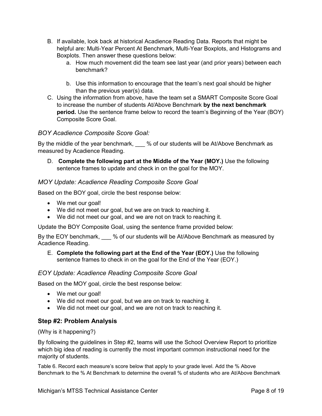- B. If available, look back at historical Acadience Reading Data. Reports that might be helpful are: Multi-Year Percent At Benchmark, Multi-Year Boxplots, and Histograms and Boxplots. Then answer these questions below:
	- a. How much movement did the team see last year (and prior years) between each benchmark?
	- b. Use this information to encourage that the team's next goal should be higher than the previous year(s) data.
- C. Using the information from above, have the team set a SMART Composite Score Goal to increase the number of students At/Above Benchmark **by the next benchmark period.** Use the sentence frame below to record the team's Beginning of the Year (BOY) Composite Score Goal.

#### *BOY Acadience Composite Score Goal:*

By the middle of the year benchmark, % of our students will be At/Above Benchmark as measured by Acadience Reading.

D. **Complete the following part at the Middle of the Year (MOY.)** Use the following sentence frames to update and check in on the goal for the MOY.

#### *MOY Update: Acadience Reading Composite Score Goal*

Based on the BOY goal, circle the best response below:

- We met our goal!
- We did not meet our goal, but we are on track to reaching it.
- We did not meet our goal, and we are not on track to reaching it.

Update the BOY Composite Goal, using the sentence frame provided below:

By the EOY benchmark, % of our students will be At/Above Benchmark as measured by Acadience Reading.

E. **Complete the following part at the End of the Year (EOY.)** Use the following sentence frames to check in on the goal for the End of the Year (EOY.)

#### *EOY Update: Acadience Reading Composite Score Goal*

Based on the MOY goal, circle the best response below:

- We met our goal!
- We did not meet our goal, but we are on track to reaching it.
- We did not meet our goal, and we are not on track to reaching it.

#### <span id="page-7-0"></span>**Step #2: Problem Analysis**

(Why is it happening?)

By following the guidelines in Step #2, teams will use the School Overview Report to prioritize which big idea of reading is currently the most important common instructional need for the majority of students.

Table 6. Record each measure's score below that apply to your grade level. Add the % Above Benchmark to the % At Benchmark to determine the overall % of students who are At/Above Benchmark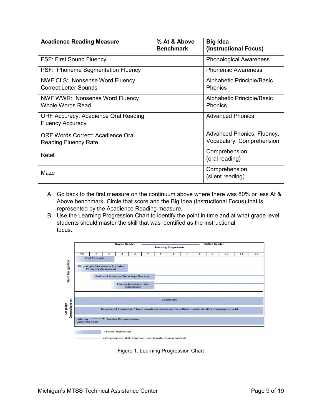| <b>Acadience Reading Measure</b>                                        | % At & Above<br><b>Benchmark</b> | <b>Big Idea</b><br>(Instructional Focus)                |
|-------------------------------------------------------------------------|----------------------------------|---------------------------------------------------------|
| <b>FSF: First Sound Fluency</b>                                         |                                  | <b>Phonological Awareness</b>                           |
| PSF: Phoneme Segmentation Fluency                                       |                                  | <b>Phonemic Awareness</b>                               |
| <b>NWF CLS: Nonsense Word Fluency</b><br><b>Correct Letter Sounds</b>   |                                  | Alphabetic Principle/Basic<br><b>Phonics</b>            |
| NWF WWR: Nonsense Word Fluency<br><b>Whole Words Read</b>               |                                  | Alphabetic Principle/Basic<br><b>Phonics</b>            |
| <b>ORF Accuracy: Acadience Oral Reading</b><br><b>Fluency Accuracy</b>  |                                  | <b>Advanced Phonics</b>                                 |
| <b>ORF Words Correct: Acadience Oral</b><br><b>Reading Fluency Rate</b> |                                  | Advanced Phonics, Fluency,<br>Vocabulary, Comprehension |
| Retell                                                                  |                                  | Comprehension<br>(oral reading)                         |
| Maze                                                                    |                                  | Comprehension<br>(silent reading)                       |

- A. Go back to the first measure on the continuum above where there was 80% or less At & Above benchmark. Circle that score and the Big Idea (Instructional Focus) that is represented by the Acadience Reading measure.
- B. Use the Learning Progression Chart to identify the point in time and at what grade level students should master the skill that was identified as the instructional focus.



On-going use, skill refinement, and transfer to new contexts

Figure 1. Learning Progression Chart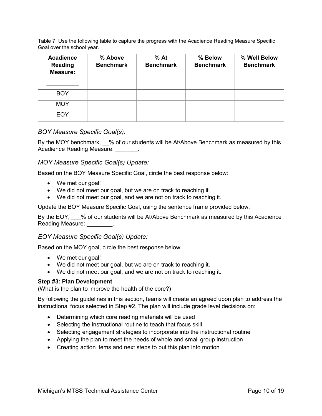Table 7. Use the following table to capture the progress with the Acadience Reading Measure Specific Goal over the school year.

| <b>Acadience</b><br><b>Reading</b><br><b>Measure:</b> | % Above<br><b>Benchmark</b> | $%$ At<br><b>Benchmark</b> | % Below<br><b>Benchmark</b> | % Well Below<br><b>Benchmark</b> |
|-------------------------------------------------------|-----------------------------|----------------------------|-----------------------------|----------------------------------|
| <b>BOY</b>                                            |                             |                            |                             |                                  |
| <b>MOY</b>                                            |                             |                            |                             |                                  |
| <b>EOY</b>                                            |                             |                            |                             |                                  |

#### *BOY Measure Specific Goal(s):*

By the MOY benchmark, % of our students will be At/Above Benchmark as measured by this Acadience Reading Measure: \_\_\_\_\_\_\_.

#### *MOY Measure Specific Goal(s) Update:*

Based on the BOY Measure Specific Goal, circle the best response below:

- We met our goal!
- We did not meet our goal, but we are on track to reaching it.
- We did not meet our goal, and we are not on track to reaching it.

Update the BOY Measure Specific Goal, using the sentence frame provided below:

By the EOY, % of our students will be At/Above Benchmark as measured by this Acadience Reading Measure: The control of the Reading Measure:

#### *EOY Measure Specific Goal(s) Update:*

Based on the MOY goal, circle the best response below:

- We met our goal!
- We did not meet our goal, but we are on track to reaching it.
- We did not meet our goal, and we are not on track to reaching it.

#### <span id="page-9-0"></span>**Step #3: Plan Development**

(What is the plan to improve the health of the core?)

By following the guidelines in this section, teams will create an agreed upon plan to address the instructional focus selected in Step #2. The plan will include grade level decisions on:

- Determining which core reading materials will be used
- Selecting the instructional routine to teach that focus skill
- Selecting engagement strategies to incorporate into the instructional routine
- Applying the plan to meet the needs of whole and small group instruction
- Creating action items and next steps to put this plan into motion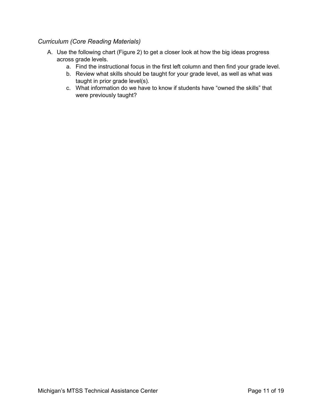#### *Curriculum (Core Reading Materials)*

- A. Use the following chart [\(Figure 2\)](#page-11-0) to get a closer look at how the big ideas progress across grade levels.
	- a. Find the instructional focus in the first left column and then find your grade level.
	- b. Review what skills should be taught for your grade level, as well as what was taught in prior grade level(s).
	- c. What information do we have to know if students have "owned the skills" that were previously taught?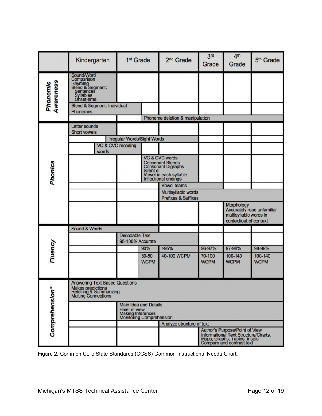|                       | Kindergarten                                                                                                                         | 1 <sup>st</sup> Grade                                                                   | 2 <sup>nd</sup> Grade                                                                                             | 3 <sup>rd</sup><br>Grade | 4 <sup>th</sup><br>Grade                                                                                                            | 5 <sup>th</sup> Grade      |  |
|-----------------------|--------------------------------------------------------------------------------------------------------------------------------------|-----------------------------------------------------------------------------------------|-------------------------------------------------------------------------------------------------------------------|--------------------------|-------------------------------------------------------------------------------------------------------------------------------------|----------------------------|--|
| Awareness<br>Phonemic | Sound/Word<br>Comparison<br>Rhyming<br>Blend & Segment:<br>Sentences<br>Syllables<br>Onset-rime                                      |                                                                                         |                                                                                                                   |                          |                                                                                                                                     |                            |  |
|                       | Blend & Segment: Individual<br><b>Phonemes</b>                                                                                       |                                                                                         |                                                                                                                   |                          |                                                                                                                                     |                            |  |
|                       |                                                                                                                                      |                                                                                         | Phoneme deletion & manipulation                                                                                   |                          |                                                                                                                                     |                            |  |
|                       | Letter sounds<br><b>Short vowels</b>                                                                                                 |                                                                                         |                                                                                                                   |                          |                                                                                                                                     |                            |  |
|                       |                                                                                                                                      | Irregular Words/Sight Words                                                             |                                                                                                                   |                          |                                                                                                                                     |                            |  |
|                       | VC & CVC recoding<br>words                                                                                                           |                                                                                         |                                                                                                                   |                          |                                                                                                                                     |                            |  |
| <b>Phonics</b>        |                                                                                                                                      | Silent e                                                                                | VC & CVC words<br><b>Consonant Blends</b><br>Consonant Digraphs<br>Vowel in each syllable<br>Inflectional endings |                          |                                                                                                                                     |                            |  |
|                       |                                                                                                                                      |                                                                                         | <b>Vowel teams</b>                                                                                                |                          |                                                                                                                                     |                            |  |
|                       |                                                                                                                                      |                                                                                         | Multisyllabic words<br><b>Prefixes &amp; Suffixes</b>                                                             |                          |                                                                                                                                     |                            |  |
|                       |                                                                                                                                      |                                                                                         |                                                                                                                   |                          | Morphology<br>multisyllabic words in<br>context/out of context                                                                      | Accurately read unfamiliar |  |
|                       | Sound & Words                                                                                                                        |                                                                                         |                                                                                                                   |                          |                                                                                                                                     |                            |  |
|                       |                                                                                                                                      | <b>Decodable Text</b><br>95-100% Accurate                                               |                                                                                                                   |                          |                                                                                                                                     |                            |  |
|                       |                                                                                                                                      | 90%                                                                                     | >95%                                                                                                              | 96-97%                   | 97-98%                                                                                                                              | 98-99%                     |  |
| Fluency               |                                                                                                                                      | 30-50<br><b>WCPM</b>                                                                    | 40-100 WCPM                                                                                                       | 70-100<br><b>WCPM</b>    | 100-140<br><b>WCPM</b>                                                                                                              | 100-140<br><b>WCPM</b>     |  |
|                       | <b>Answering Text Based Questions</b><br><b>Makes predictions</b><br><b>Retelling &amp; Summarizing</b><br><b>Making Connections</b> |                                                                                         |                                                                                                                   |                          |                                                                                                                                     |                            |  |
| <b>Comprehension*</b> |                                                                                                                                      | Main Idea and Details<br>Point of view<br>Making Interences<br>Monitoring Comprehension |                                                                                                                   |                          |                                                                                                                                     |                            |  |
|                       |                                                                                                                                      |                                                                                         | Analyze structure of text                                                                                         |                          |                                                                                                                                     |                            |  |
|                       |                                                                                                                                      |                                                                                         |                                                                                                                   |                          | Author's Purpose/Point of View<br>Informational Text Structure/Charts,<br>Maps, Graphs, Tables, Insets<br>Compare and contrast text |                            |  |

<span id="page-11-0"></span>Figure 2. Common Core State Standards (CCSS) Common Instructional Needs Chart.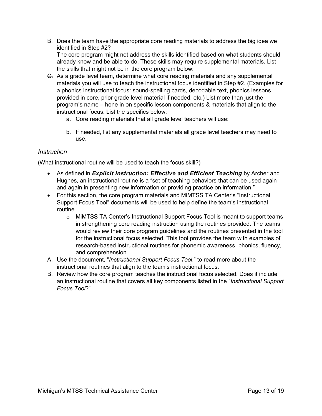B. Does the team have the appropriate core reading materials to address the big idea we identified in Step #2? The core program might not address the skills identified based on what students should

already know and be able to do. These skills may require supplemental materials. List the skills that might not be in the core program below:

- C. As a grade level team, determine what core reading materials and any supplemental materials you will use to teach the instructional focus identified in Step #2. (Examples for a phonics instructional focus: sound-spelling cards, decodable text, phonics lessons provided in core, prior grade level material if needed, etc.) List more than just the program's name – hone in on specific lesson components & materials that align to the instructional focus. List the specifics below:
	- a. Core reading materials that all grade level teachers will use:
	- b. If needed, list any supplemental materials all grade level teachers may need to use.

#### *Instruction*

(What instructional routine will be used to teach the focus skill?)

- As defined in *Explicit Instruction: Effective and Efficient Teaching* by Archer and Hughes, an instructional routine is a "set of teaching behaviors that can be used again and again in presenting new information or providing practice on information."
- For this section, the core program materials and MiMTSS TA Center's "Instructional Support Focus Tool" documents will be used to help define the team's instructional routine.
	- o MiMTSS TA Center's Instructional Support Focus Tool is meant to support teams in strengthening core reading instruction using the routines provided. The teams would review their core program guidelines and the routines presented in the tool for the instructional focus selected. This tool provides the team with examples of research-based instructional routines for phonemic awareness, phonics, fluency, and comprehension.
- A. Use the document, "*Instructional Support Focus Tool*," to read more about the instructional routines that align to the team's instructional focus.
- B. Review how the core program teaches the instructional focus selected. Does it include an instructional routine that covers all key components listed in the "*Instructional Support Focus Tool*?"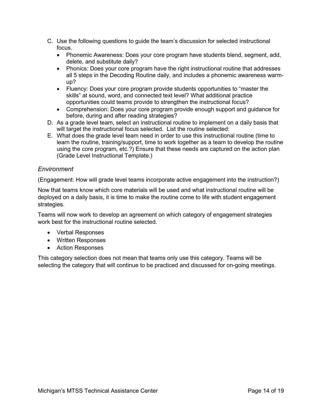- C. Use the following questions to guide the team's discussion for selected instructional focus.
	- Phonemic Awareness: Does your core program have students blend, segment, add, delete, and substitute daily?
	- Phonics: Does your core program have the right instructional routine that addresses all 5 steps in the Decoding Routine daily, and includes a phonemic awareness warmup?
	- Fluency: Does your core program provide students opportunities to "master the skills" at sound, word, and connected text level? What additional practice opportunities could teams provide to strengthen the instructional focus?
	- Comprehension: Does your core program provide enough support and guidance for before, during and after reading strategies?
- D. As a grade level team, select an instructional routine to implement on a daily basis that will target the instructional focus selected. List the routine selected:
- E. What does the grade level team need in order to use this instructional routine (time to learn the routine, training/support, time to work together as a team to develop the routine using the core program, etc.?) Ensure that these needs are captured on the action plan (Grade Level Instructional Template.)

#### *Environment*

(Engagement: How will grade level teams incorporate active engagement into the instruction?)

Now that teams know which core materials will be used and what instructional routine will be deployed on a daily basis, it is time to make the routine come to life with student engagement strategies.

Teams will now work to develop an agreement on which category of engagement strategies work best for the instructional routine selected.

- Verbal Responses
- Written Responses
- Action Responses

This category selection does not mean that teams only use this category. Teams will be selecting the category that will continue to be practiced and discussed for on-going meetings.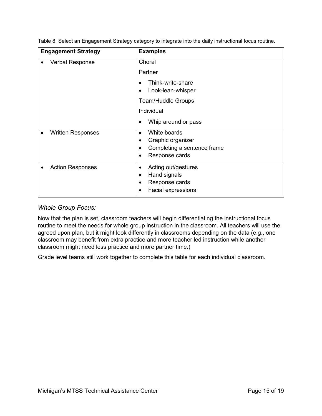| <b>Engagement Strategy</b> | <b>Examples</b>                                                                                                               |
|----------------------------|-------------------------------------------------------------------------------------------------------------------------------|
| <b>Verbal Response</b>     | Choral<br>Partner<br>Think-write-share<br>Look-lean-whisper<br><b>Team/Huddle Groups</b><br>Individual<br>Whip around or pass |
| <b>Written Responses</b>   | White boards<br>$\bullet$<br>Graphic organizer<br>٠<br>Completing a sentence frame<br>Response cards<br>$\bullet$             |
| <b>Action Responses</b>    | Acting out/gestures<br>٠<br>Hand signals<br>Response cards<br>Facial expressions                                              |

Table 8. Select an Engagement Strategy category to integrate into the daily instructional focus routine.

#### *Whole Group Focus:*

Now that the plan is set, classroom teachers will begin differentiating the instructional focus routine to meet the needs for whole group instruction in the classroom. All teachers will use the agreed upon plan, but it might look differently in classrooms depending on the data (e.g., one classroom may benefit from extra practice and more teacher led instruction while another classroom might need less practice and more partner time.)

Grade level teams still work together to complete this table for each individual classroom.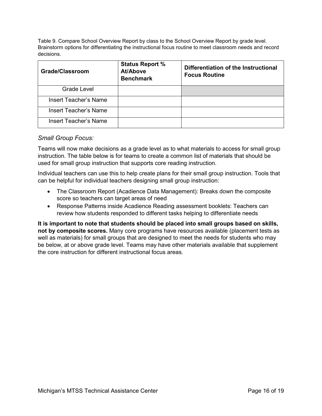Table 9. Compare School Overview Report by class to the School Overview Report by grade level. Brainstorm options for differentiating the instructional focus routine to meet classroom needs and record decisions.

| <b>Grade/Classroom</b>       | <b>Status Report %</b><br>At/Above<br><b>Benchmark</b> | Differentiation of the Instructional<br><b>Focus Routine</b> |
|------------------------------|--------------------------------------------------------|--------------------------------------------------------------|
| Grade Level                  |                                                        |                                                              |
| <b>Insert Teacher's Name</b> |                                                        |                                                              |
| <b>Insert Teacher's Name</b> |                                                        |                                                              |
| Insert Teacher's Name        |                                                        |                                                              |

#### *Small Group Focus:*

Teams will now make decisions as a grade level as to what materials to access for small group instruction. The table below is for teams to create a common list of materials that should be used for small group instruction that supports core reading instruction.

Individual teachers can use this to help create plans for their small group instruction. Tools that can be helpful for individual teachers designing small group instruction:

- The Classroom Report (Acadience Data Management): Breaks down the composite score so teachers can target areas of need
- Response Patterns inside Acadience Reading assessment booklets: Teachers can review how students responded to different tasks helping to differentiate needs

**It is important to note that students should be placed into small groups based on skills, not by composite scores.** Many core programs have resources available (placement tests as well as materials) for small groups that are designed to meet the needs for students who may be below, at or above grade level. Teams may have other materials available that supplement the core instruction for different instructional focus areas.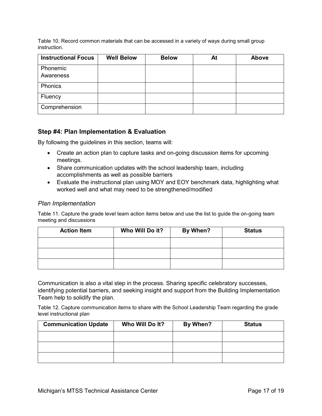Table 10. Record common materials that can be accessed in a variety of ways during small group instruction.

| <b>Instructional Focus</b> | <b>Well Below</b> | <b>Below</b> | At | Above |
|----------------------------|-------------------|--------------|----|-------|
| Phonemic                   |                   |              |    |       |
| Awareness                  |                   |              |    |       |
| Phonics                    |                   |              |    |       |
| Fluency                    |                   |              |    |       |
| Comprehension              |                   |              |    |       |

#### <span id="page-16-0"></span>**Step #4: Plan Implementation & Evaluation**

By following the guidelines in this section, teams will:

- Create an action plan to capture tasks and on-going discussion items for upcoming meetings.
- Share communication updates with the school leadership team, including accomplishments as well as possible barriers
- Evaluate the instructional plan using MOY and EOY benchmark data, highlighting what worked well and what may need to be strengthened/modified

#### *Plan Implementation*

Table 11. Capture the grade level team action items below and use the list to guide the on-going team meeting and discussions

| <b>Action Item</b> | Who Will Do it? | By When? | <b>Status</b> |
|--------------------|-----------------|----------|---------------|
|                    |                 |          |               |
|                    |                 |          |               |
|                    |                 |          |               |

Communication is also a vital step in the process. Sharing specific celebratory successes, identifying potential barriers, and seeking insight and support from the Building Implementation Team help to solidify the plan.

Table 12. Capture communication items to share with the School Leadership Team regarding the grade level instructional plan

| <b>Communication Update</b> | Who Will Do It? | By When? | <b>Status</b> |
|-----------------------------|-----------------|----------|---------------|
|                             |                 |          |               |
|                             |                 |          |               |
|                             |                 |          |               |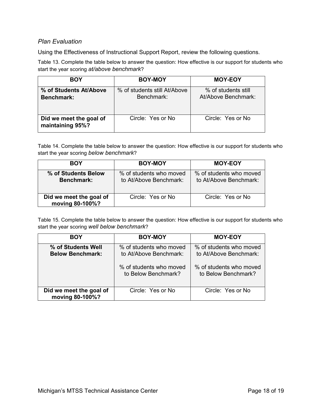#### *Plan Evaluation*

Using the Effectiveness of Instructional Support Report, review the following questions.

Table 13. Complete the table below to answer the question: How effective is our support for students who start the year scoring *at/above benchmark*?

| <b>BOY</b>                                  | <b>BOY-MOY</b>                             | <b>MOY-EOY</b>                             |
|---------------------------------------------|--------------------------------------------|--------------------------------------------|
| % of Students At/Above<br><b>Benchmark:</b> | % of students still At/Above<br>Benchmark: | % of students still<br>At/Above Benchmark: |
| Did we meet the goal of<br>maintaining 95%? | Circle: Yes or No.                         | Circle: Yes or No.                         |

Table 14. Complete the table below to answer the question: How effective is our support for students who start the year scoring *below benchmark*?

| <b>BOY</b>                                 | <b>BOY-MOY</b>                                    | <b>MOY-EOY</b>                                    |
|--------------------------------------------|---------------------------------------------------|---------------------------------------------------|
| % of Students Below<br><b>Benchmark:</b>   | % of students who moved<br>to At/Above Benchmark: | % of students who moved<br>to At/Above Benchmark: |
| Did we meet the goal of<br>moving 80-100%? | Circle: Yes or No                                 | Circle: Yes or No.                                |

Table 15. Complete the table below to answer the question: How effective is our support for students who start the year scoring *well below benchmark*?

| <b>BOY</b>                                    | <b>BOY-MOY</b>                                    | <b>MOY-EOY</b>                                    |
|-----------------------------------------------|---------------------------------------------------|---------------------------------------------------|
| % of Students Well<br><b>Below Benchmark:</b> | % of students who moved<br>to At/Above Benchmark: | % of students who moved<br>to At/Above Benchmark: |
|                                               | % of students who moved<br>to Below Benchmark?    | % of students who moved<br>to Below Benchmark?    |
| Did we meet the goal of<br>moving 80-100%?    | Circle: Yes or No                                 | Circle: Yes or No.                                |